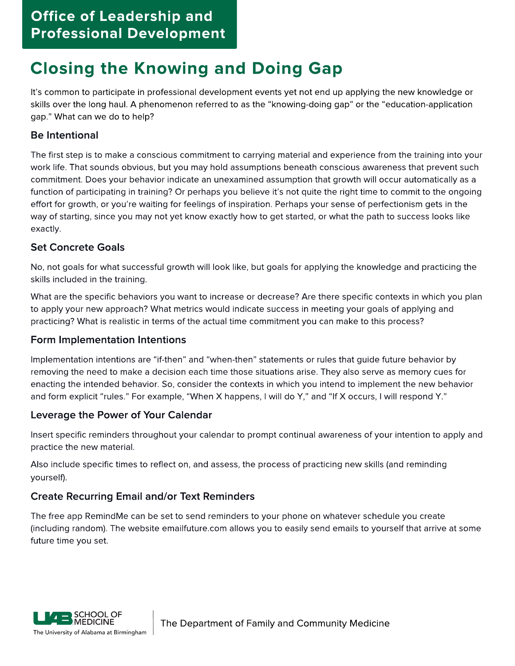# Closing the Knowing and Doing Gap

It?s common to participate in professional development events yet not end up applying the new knowledge or skills over the long haul. A phenomenon referred to as the "knowing-doing gap" or the "education-application gap.?What can we do to help?

# Be Intentional

The first step is to make a conscious commitment to carrying material and experience from the training into your work life. That sounds obvious, but you may hold assumptions beneath conscious awareness that prevent such commitment. Does your behavior indicate an unexamined assumption that growth will occur automatically as a function of participating in training? Or perhaps you believe it's not quite the right time to commit to the ongoing effort for growth, or you're waiting for feelings of inspiration. Perhaps your sense of perfectionism gets in the way of starting, since you may not yet know exactly how to get started, or what the path to success looks like exactly.

### Set Concrete Goals

No, not goals for what successful growth will look like, but goals for applying the knowledge and practicing the skills included in the training.

What are the specific behaviors you want to increase or decrease? Are there specific contexts in which you plan to apply your new approach? What metrics would indicate success in meeting your goals of applying and practicing? What is realistic in terms of the actual time commitment you can make to this process?

### Form Implementation Intentions

Implementation intentions are "if-then" and "when-then" statements or rules that guide future behavior by removing the need to make a decision each time those situations arise. They also serve as memory cues for enacting the intended behavior. So, consider the contexts in which you intend to implement the new behavior and form explicit "rules." For example, "When X happens, I will do Y," and "If X occurs, I will respond Y."

### Leverage the Power of Your Calendar

Insert specific reminders throughout your calendar to prompt continual awareness of your intention to apply and practice the new material.

Also include specific times to reflect on, and assess, the process of practicing new skills (and reminding yourself).

# Create Recurring Email and/or Text Reminders

The free app RemindMe can be set to send reminders to your phone on whatever schedule you create (including random). The website emailfuture.com allows you to easily send emails to yourself that arrive at some future time you set.